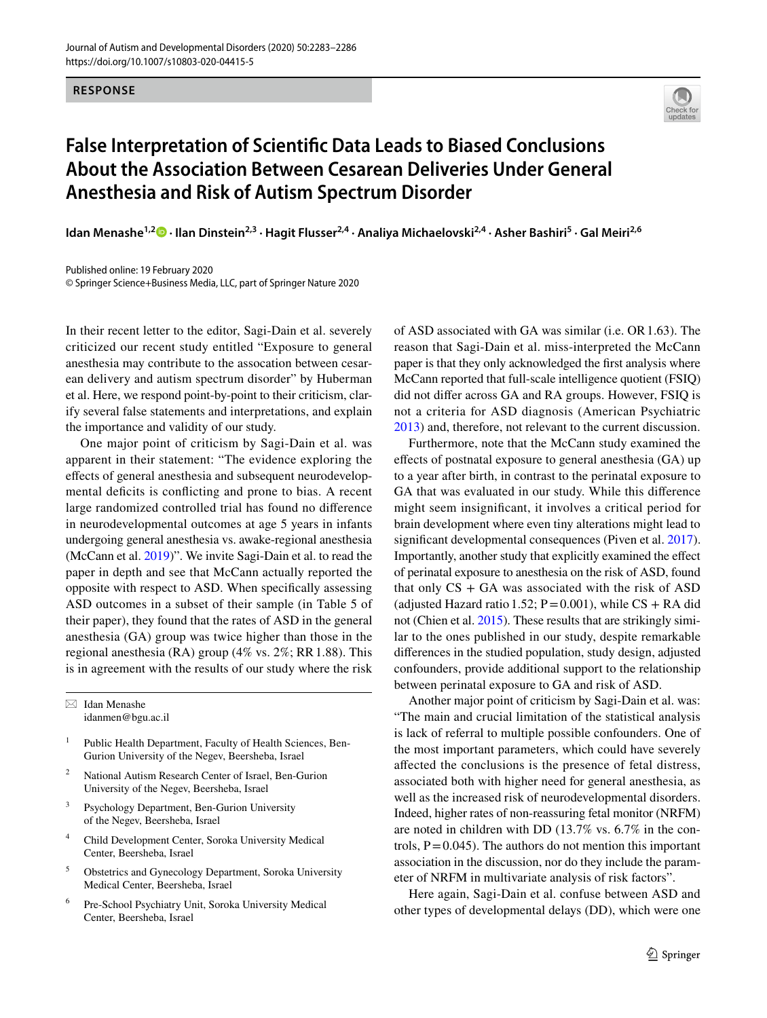## **RESPONSE**



## **False Interpretation of Scientifc Data Leads to Biased Conclusions About the Association Between Cesarean Deliveries Under General Anesthesia and Risk of Autism Spectrum Disorder**

**Idan Menashe1,2  [·](http://orcid.org/0000-0003-1961-1461) Ilan Dinstein2,3 · Hagit Flusser2,4 · Analiya Michaelovski2,4 · Asher Bashiri5 · Gal Meiri2,6**

Published online: 19 February 2020 © Springer Science+Business Media, LLC, part of Springer Nature 2020

In their recent letter to the editor, Sagi-Dain et al. severely criticized our recent study entitled "Exposure to general anesthesia may contribute to the assocation between cesarean delivery and autism spectrum disorder" by Huberman et al. Here, we respond point-by-point to their criticism, clarify several false statements and interpretations, and explain the importance and validity of our study.

One major point of criticism by Sagi-Dain et al. was apparent in their statement: "The evidence exploring the efects of general anesthesia and subsequent neurodevelopmental deficits is conflicting and prone to bias. A recent large randomized controlled trial has found no diference in neurodevelopmental outcomes at age 5 years in infants undergoing general anesthesia vs. awake-regional anesthesia (McCann et al. [2019\)](#page-3-0)". We invite Sagi-Dain et al. to read the paper in depth and see that McCann actually reported the opposite with respect to ASD. When specifcally assessing ASD outcomes in a subset of their sample (in Table 5 of their paper), they found that the rates of ASD in the general anesthesia (GA) group was twice higher than those in the regional anesthesia (RA) group (4% vs. 2%; RR1.88). This is in agreement with the results of our study where the risk

 $\boxtimes$  Idan Menashe idanmen@bgu.ac.il

- <sup>1</sup> Public Health Department, Faculty of Health Sciences, Ben-Gurion University of the Negev, Beersheba, Israel
- <sup>2</sup> National Autism Research Center of Israel, Ben-Gurion University of the Negev, Beersheba, Israel
- <sup>3</sup> Psychology Department, Ben-Gurion University of the Negev, Beersheba, Israel
- <sup>4</sup> Child Development Center, Soroka University Medical Center, Beersheba, Israel
- <sup>5</sup> Obstetrics and Gynecology Department, Soroka University Medical Center, Beersheba, Israel
- <sup>6</sup> Pre-School Psychiatry Unit, Soroka University Medical Center, Beersheba, Israel

of ASD associated with GA was similar (i.e. OR1.63). The reason that Sagi-Dain et al. miss-interpreted the McCann paper is that they only acknowledged the frst analysis where McCann reported that full-scale intelligence quotient (FSIQ) did not difer across GA and RA groups. However, FSIQ is not a criteria for ASD diagnosis (American Psychiatric [2013](#page-3-1)) and, therefore, not relevant to the current discussion.

Furthermore, note that the McCann study examined the efects of postnatal exposure to general anesthesia (GA) up to a year after birth, in contrast to the perinatal exposure to GA that was evaluated in our study. While this diference might seem insignifcant, it involves a critical period for brain development where even tiny alterations might lead to signifcant developmental consequences (Piven et al. [2017](#page-3-2)). Importantly, another study that explicitly examined the efect of perinatal exposure to anesthesia on the risk of ASD, found that only  $CS + GA$  was associated with the risk of  $ASD$ (adjusted Hazard ratio 1.52;  $P = 0.001$ ), while CS + RA did not (Chien et al. [2015\)](#page-3-3). These results that are strikingly similar to the ones published in our study, despite remarkable diferences in the studied population, study design, adjusted confounders, provide additional support to the relationship between perinatal exposure to GA and risk of ASD.

Another major point of criticism by Sagi-Dain et al. was: "The main and crucial limitation of the statistical analysis is lack of referral to multiple possible confounders. One of the most important parameters, which could have severely afected the conclusions is the presence of fetal distress, associated both with higher need for general anesthesia, as well as the increased risk of neurodevelopmental disorders. Indeed, higher rates of non-reassuring fetal monitor (NRFM) are noted in children with DD (13.7% vs. 6.7% in the controls,  $P = 0.045$ ). The authors do not mention this important association in the discussion, nor do they include the parameter of NRFM in multivariate analysis of risk factors".

Here again, Sagi-Dain et al. confuse between ASD and other types of developmental delays (DD), which were one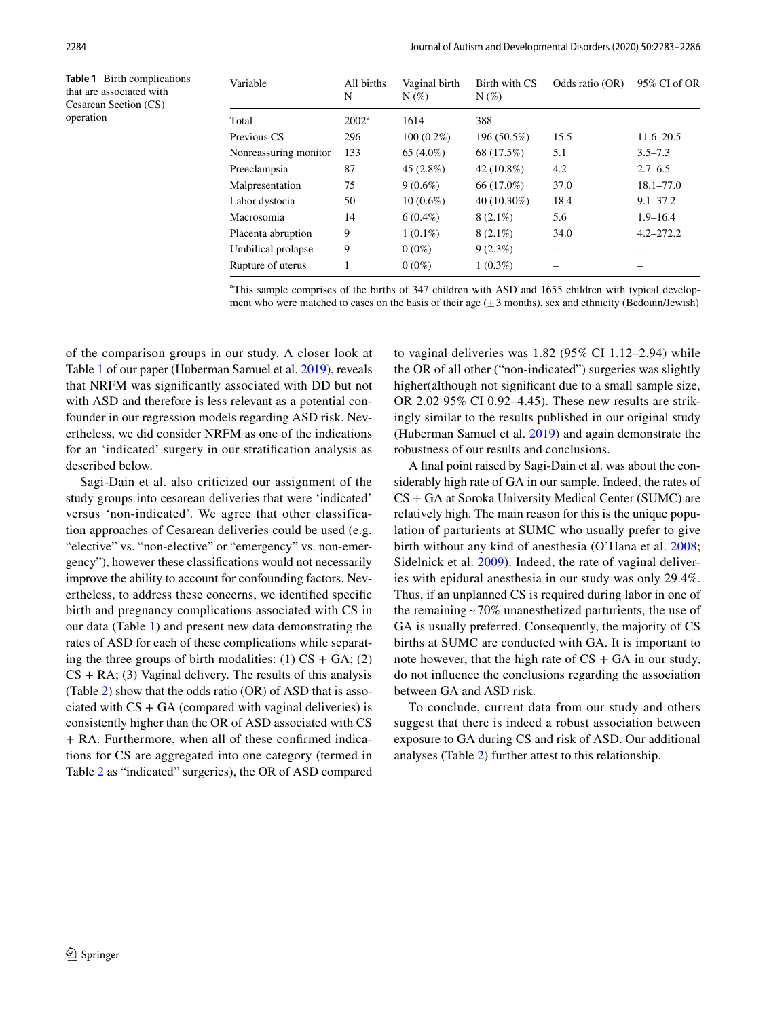<span id="page-1-0"></span>**Table 1** Birth complications that are associated with Cesarean Section (CS) operation

| Variable              | All births<br>N | Vaginal birth<br>$N(\%)$ | Birth with CS<br>$N(\%)$ | Odds ratio (OR) | 95% CI of OR  |
|-----------------------|-----------------|--------------------------|--------------------------|-----------------|---------------|
| Total                 | $2002^a$        | 1614                     | 388                      |                 |               |
| Previous CS           | 296             | $100(0.2\%)$             | 196 (50.5%)              | 15.5            | $11.6 - 20.5$ |
| Nonreassuring monitor | 133             | 65 (4.0%)                | 68 (17.5%)               | 5.1             | $3.5 - 7.3$   |
| Preeclampsia          | 87              | 45 (2.8%)                | 42 (10.8%)               | 4.2             | $2.7 - 6.5$   |
| Malpresentation       | 75              | $9(0.6\%)$               | 66 (17.0%)               | 37.0            | $18.1 - 77.0$ |
| Labor dystocia        | 50              | $10(0.6\%)$              | 40 (10.30%)              | 18.4            | $9.1 - 37.2$  |
| Macrosomia            | 14              | $6(0.4\%)$               | $8(2.1\%)$               | 5.6             | $1.9 - 16.4$  |
| Placenta abruption    | 9               | $1(0.1\%)$               | $8(2.1\%)$               | 34.0            | $4.2 - 272.2$ |
| Umbilical prolapse    | 9               | $0(0\%)$                 | $9(2.3\%)$               | -               |               |
| Rupture of uterus     |                 | $0(0\%)$                 | $1(0.3\%)$               |                 |               |

a This sample comprises of the births of 347 children with ASD and 1655 children with typical development who were matched to cases on the basis of their age  $(\pm 3$  months), sex and ethnicity (Bedouin/Jewish)

of the comparison groups in our study. A closer look at Table [1](#page-1-0) of our paper (Huberman Samuel et al. [2019](#page-3-4)), reveals that NRFM was signifcantly associated with DD but not with ASD and therefore is less relevant as a potential confounder in our regression models regarding ASD risk. Nevertheless, we did consider NRFM as one of the indications for an 'indicated' surgery in our stratifcation analysis as described below.

Sagi-Dain et al. also criticized our assignment of the study groups into cesarean deliveries that were 'indicated' versus 'non-indicated'. We agree that other classification approaches of Cesarean deliveries could be used (e.g. "elective" vs. "non-elective" or "emergency" vs. non-emergency"), however these classifcations would not necessarily improve the ability to account for confounding factors. Nevertheless, to address these concerns, we identifed specifc birth and pregnancy complications associated with CS in our data (Table [1](#page-1-0)) and present new data demonstrating the rates of ASD for each of these complications while separating the three groups of birth modalities:  $(1)$  CS + GA;  $(2)$  $CS + RA$ ; (3) Vaginal delivery. The results of this analysis (Table [2](#page-2-0)) show that the odds ratio (OR) of ASD that is associated with  $CS + GA$  (compared with vaginal deliveries) is consistently higher than the OR of ASD associated with CS + RA. Furthermore, when all of these confrmed indications for CS are aggregated into one category (termed in Table [2](#page-2-0) as "indicated" surgeries), the OR of ASD compared to vaginal deliveries was 1.82 (95% CI 1.12–2.94) while the OR of all other ("non-indicated") surgeries was slightly higher(although not signifcant due to a small sample size, OR 2.02 95% CI 0.92–4.45). These new results are strikingly similar to the results published in our original study (Huberman Samuel et al. [2019](#page-3-4)) and again demonstrate the robustness of our results and conclusions.

A fnal point raised by Sagi-Dain et al. was about the considerably high rate of GA in our sample. Indeed, the rates of CS + GA at Soroka University Medical Center (SUMC) are relatively high. The main reason for this is the unique population of parturients at SUMC who usually prefer to give birth without any kind of anesthesia (O'Hana et al. [2008](#page-3-5); Sidelnick et al. [2009\)](#page-3-6). Indeed, the rate of vaginal deliveries with epidural anesthesia in our study was only 29.4%. Thus, if an unplanned CS is required during labor in one of the remaining  $\sim$  70% unanesthetized parturients, the use of GA is usually preferred. Consequently, the majority of CS births at SUMC are conducted with GA. It is important to note however, that the high rate of  $CS + GA$  in our study, do not infuence the conclusions regarding the association between GA and ASD risk.

To conclude, current data from our study and others suggest that there is indeed a robust association between exposure to GA during CS and risk of ASD. Our additional analyses (Table [2](#page-2-0)) further attest to this relationship.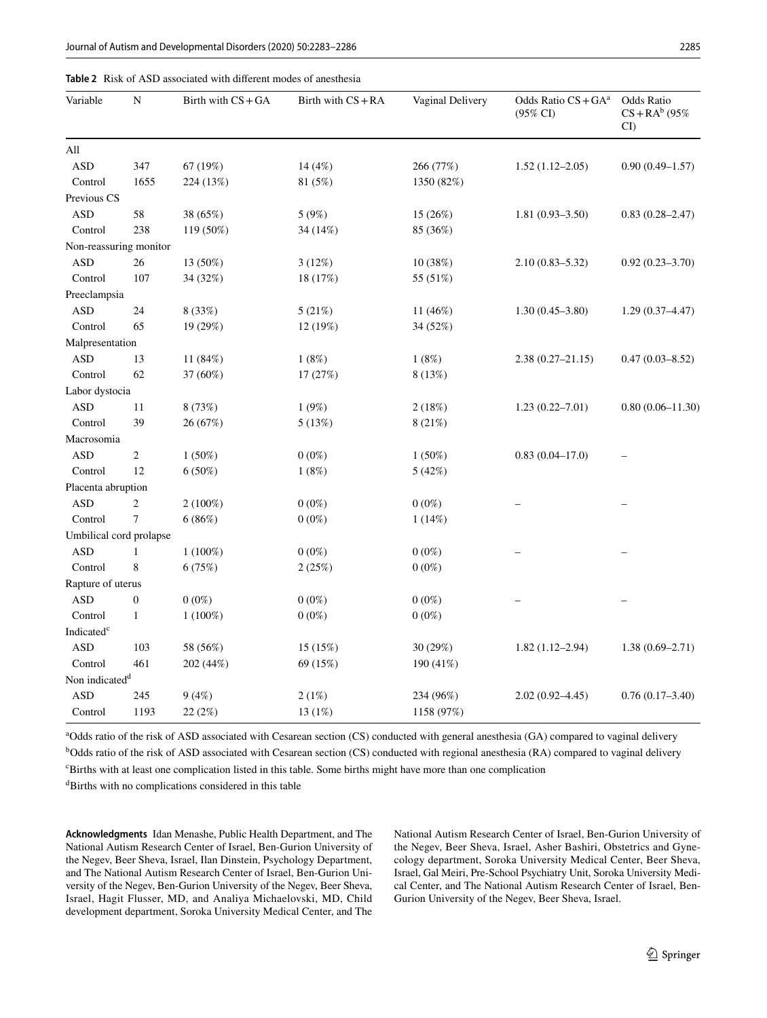<span id="page-2-0"></span>

| All<br>$\mathbf{ASD}$<br>347<br>67 (19%)<br>14 (4%)<br>266 (77%)<br>$0.90(0.49 - 1.57)$<br>$1.52(1.12 - 2.05)$<br>1655<br>Control<br>224 (13%)<br>81 (5%)<br>1350 (82%)<br>Previous CS<br>$\mathbf{ASD}$<br>58<br>38 (65%)<br>5 (9%)<br>15 (26%)<br>$1.81(0.93 - 3.50)$<br>$0.83(0.28 - 2.47)$<br>238<br>119 (50%)<br>85 (36%)<br>Control<br>34 (14%)<br>Non-reassuring monitor<br><b>ASD</b><br>26<br>13 (50%)<br>$0.92(0.23 - 3.70)$<br>3(12%)<br>10(38%)<br>$2.10(0.83 - 5.32)$<br>107<br>34 (32%)<br>Control<br>18 (17%)<br>55 (51%)<br>Preeclampsia<br><b>ASD</b><br>24<br>8 (33%)<br>5(21%)<br>$1.30(0.45 - 3.80)$<br>11 (46%)<br>$1.29(0.37-4.47)$<br>65<br>19 (29%)<br>12 (19%)<br>Control<br>34 (52%)<br>Malpresentation<br>11 (84%)<br>1(8%)<br><b>ASD</b><br>13<br>1(8%)<br>$2.38(0.27 - 21.15)$<br>$0.47(0.03 - 8.52)$<br>62<br>Control<br>37 (60%)<br>17 (27%)<br>8 (13%)<br>Labor dystocia<br><b>ASD</b><br>11<br>8 (73%)<br>1(9%)<br>2(18%)<br>$1.23(0.22 - 7.01)$<br>39<br>Control<br>26 (67%)<br>5(13%)<br>8 (21%)<br>Macrosomia<br><b>ASD</b><br>$\overline{c}$<br>$0.83(0.04 - 17.0)$<br>1(50%)<br>$0(0\%)$<br>1(50%)<br>Control<br>12<br>6(50%)<br>1(8%)<br>5(42%)<br>Placenta abruption<br><b>ASD</b><br>2<br>$2(100\%)$<br>$0(0\%)$<br>$0(0\%)$<br>Control<br>7<br>6(86%)<br>$0(0\%)$<br>1(14%)<br>Umbilical cord prolapse<br>$\mathbf{ASD}$<br>$1(100\%)$<br>$0(0\%)$<br>$0(0\%)$<br>1<br>8<br>6(75%)<br>Control<br>2(25%)<br>$0(0\%)$<br>Rapture of uterus<br><b>ASD</b><br>$0(0\%)$<br>$0(0\%)$<br>$\boldsymbol{0}$<br>$0(0\%)$<br>$1(100\%)$<br>Control<br>$\mathbf{1}$<br>$0(0\%)$<br>$0(0\%)$<br>Indicated <sup>c</sup><br>$\mathbf{ASD}$<br>103<br>58 (56%)<br>15 (15%)<br>30 (29%)<br>$1.38(0.69 - 2.71)$<br>$1.82(1.12 - 2.94)$<br>461<br>Control<br>202 (44%)<br>69 (15%)<br>190 (41%)<br>Non indicated <sup>d</sup><br>$\mathbf{ASD}$<br>245<br>9(4%)<br>2(1%)<br>234 (96%)<br>$2.02(0.92 - 4.45)$<br>$0.76(0.17-3.40)$<br>Control<br>1193<br>22 (2%)<br>13 (1%)<br>1158 (97%) | Variable | $\mathbf N$ | Birth with $CS + GA$ | Birth with $CS + RA$ | Vaginal Delivery | Odds Ratio CS + GA <sup>a</sup><br>$(95\% \text{ CI})$ | Odds Ratio<br>$CS + RA^{b} (95\%$<br>$CI$ ) |
|-----------------------------------------------------------------------------------------------------------------------------------------------------------------------------------------------------------------------------------------------------------------------------------------------------------------------------------------------------------------------------------------------------------------------------------------------------------------------------------------------------------------------------------------------------------------------------------------------------------------------------------------------------------------------------------------------------------------------------------------------------------------------------------------------------------------------------------------------------------------------------------------------------------------------------------------------------------------------------------------------------------------------------------------------------------------------------------------------------------------------------------------------------------------------------------------------------------------------------------------------------------------------------------------------------------------------------------------------------------------------------------------------------------------------------------------------------------------------------------------------------------------------------------------------------------------------------------------------------------------------------------------------------------------------------------------------------------------------------------------------------------------------------------------------------------------------------------------------------------------------------------------------------------------------------------------------------------------------------------------------------------------|----------|-------------|----------------------|----------------------|------------------|--------------------------------------------------------|---------------------------------------------|
|                                                                                                                                                                                                                                                                                                                                                                                                                                                                                                                                                                                                                                                                                                                                                                                                                                                                                                                                                                                                                                                                                                                                                                                                                                                                                                                                                                                                                                                                                                                                                                                                                                                                                                                                                                                                                                                                                                                                                                                                                 |          |             |                      |                      |                  |                                                        |                                             |
|                                                                                                                                                                                                                                                                                                                                                                                                                                                                                                                                                                                                                                                                                                                                                                                                                                                                                                                                                                                                                                                                                                                                                                                                                                                                                                                                                                                                                                                                                                                                                                                                                                                                                                                                                                                                                                                                                                                                                                                                                 |          |             |                      |                      |                  |                                                        |                                             |
|                                                                                                                                                                                                                                                                                                                                                                                                                                                                                                                                                                                                                                                                                                                                                                                                                                                                                                                                                                                                                                                                                                                                                                                                                                                                                                                                                                                                                                                                                                                                                                                                                                                                                                                                                                                                                                                                                                                                                                                                                 |          |             |                      |                      |                  |                                                        |                                             |
|                                                                                                                                                                                                                                                                                                                                                                                                                                                                                                                                                                                                                                                                                                                                                                                                                                                                                                                                                                                                                                                                                                                                                                                                                                                                                                                                                                                                                                                                                                                                                                                                                                                                                                                                                                                                                                                                                                                                                                                                                 |          |             |                      |                      |                  |                                                        |                                             |
|                                                                                                                                                                                                                                                                                                                                                                                                                                                                                                                                                                                                                                                                                                                                                                                                                                                                                                                                                                                                                                                                                                                                                                                                                                                                                                                                                                                                                                                                                                                                                                                                                                                                                                                                                                                                                                                                                                                                                                                                                 |          |             |                      |                      |                  |                                                        |                                             |
|                                                                                                                                                                                                                                                                                                                                                                                                                                                                                                                                                                                                                                                                                                                                                                                                                                                                                                                                                                                                                                                                                                                                                                                                                                                                                                                                                                                                                                                                                                                                                                                                                                                                                                                                                                                                                                                                                                                                                                                                                 |          |             |                      |                      |                  |                                                        |                                             |
|                                                                                                                                                                                                                                                                                                                                                                                                                                                                                                                                                                                                                                                                                                                                                                                                                                                                                                                                                                                                                                                                                                                                                                                                                                                                                                                                                                                                                                                                                                                                                                                                                                                                                                                                                                                                                                                                                                                                                                                                                 |          |             |                      |                      |                  |                                                        |                                             |
|                                                                                                                                                                                                                                                                                                                                                                                                                                                                                                                                                                                                                                                                                                                                                                                                                                                                                                                                                                                                                                                                                                                                                                                                                                                                                                                                                                                                                                                                                                                                                                                                                                                                                                                                                                                                                                                                                                                                                                                                                 |          |             |                      |                      |                  |                                                        |                                             |
|                                                                                                                                                                                                                                                                                                                                                                                                                                                                                                                                                                                                                                                                                                                                                                                                                                                                                                                                                                                                                                                                                                                                                                                                                                                                                                                                                                                                                                                                                                                                                                                                                                                                                                                                                                                                                                                                                                                                                                                                                 |          |             |                      |                      |                  |                                                        |                                             |
|                                                                                                                                                                                                                                                                                                                                                                                                                                                                                                                                                                                                                                                                                                                                                                                                                                                                                                                                                                                                                                                                                                                                                                                                                                                                                                                                                                                                                                                                                                                                                                                                                                                                                                                                                                                                                                                                                                                                                                                                                 |          |             |                      |                      |                  |                                                        |                                             |
|                                                                                                                                                                                                                                                                                                                                                                                                                                                                                                                                                                                                                                                                                                                                                                                                                                                                                                                                                                                                                                                                                                                                                                                                                                                                                                                                                                                                                                                                                                                                                                                                                                                                                                                                                                                                                                                                                                                                                                                                                 |          |             |                      |                      |                  |                                                        |                                             |
|                                                                                                                                                                                                                                                                                                                                                                                                                                                                                                                                                                                                                                                                                                                                                                                                                                                                                                                                                                                                                                                                                                                                                                                                                                                                                                                                                                                                                                                                                                                                                                                                                                                                                                                                                                                                                                                                                                                                                                                                                 |          |             |                      |                      |                  |                                                        |                                             |
|                                                                                                                                                                                                                                                                                                                                                                                                                                                                                                                                                                                                                                                                                                                                                                                                                                                                                                                                                                                                                                                                                                                                                                                                                                                                                                                                                                                                                                                                                                                                                                                                                                                                                                                                                                                                                                                                                                                                                                                                                 |          |             |                      |                      |                  |                                                        |                                             |
|                                                                                                                                                                                                                                                                                                                                                                                                                                                                                                                                                                                                                                                                                                                                                                                                                                                                                                                                                                                                                                                                                                                                                                                                                                                                                                                                                                                                                                                                                                                                                                                                                                                                                                                                                                                                                                                                                                                                                                                                                 |          |             |                      |                      |                  |                                                        |                                             |
|                                                                                                                                                                                                                                                                                                                                                                                                                                                                                                                                                                                                                                                                                                                                                                                                                                                                                                                                                                                                                                                                                                                                                                                                                                                                                                                                                                                                                                                                                                                                                                                                                                                                                                                                                                                                                                                                                                                                                                                                                 |          |             |                      |                      |                  |                                                        |                                             |
|                                                                                                                                                                                                                                                                                                                                                                                                                                                                                                                                                                                                                                                                                                                                                                                                                                                                                                                                                                                                                                                                                                                                                                                                                                                                                                                                                                                                                                                                                                                                                                                                                                                                                                                                                                                                                                                                                                                                                                                                                 |          |             |                      |                      |                  |                                                        |                                             |
|                                                                                                                                                                                                                                                                                                                                                                                                                                                                                                                                                                                                                                                                                                                                                                                                                                                                                                                                                                                                                                                                                                                                                                                                                                                                                                                                                                                                                                                                                                                                                                                                                                                                                                                                                                                                                                                                                                                                                                                                                 |          |             |                      |                      |                  |                                                        | $0.80(0.06 - 11.30)$                        |
|                                                                                                                                                                                                                                                                                                                                                                                                                                                                                                                                                                                                                                                                                                                                                                                                                                                                                                                                                                                                                                                                                                                                                                                                                                                                                                                                                                                                                                                                                                                                                                                                                                                                                                                                                                                                                                                                                                                                                                                                                 |          |             |                      |                      |                  |                                                        |                                             |
|                                                                                                                                                                                                                                                                                                                                                                                                                                                                                                                                                                                                                                                                                                                                                                                                                                                                                                                                                                                                                                                                                                                                                                                                                                                                                                                                                                                                                                                                                                                                                                                                                                                                                                                                                                                                                                                                                                                                                                                                                 |          |             |                      |                      |                  |                                                        |                                             |
|                                                                                                                                                                                                                                                                                                                                                                                                                                                                                                                                                                                                                                                                                                                                                                                                                                                                                                                                                                                                                                                                                                                                                                                                                                                                                                                                                                                                                                                                                                                                                                                                                                                                                                                                                                                                                                                                                                                                                                                                                 |          |             |                      |                      |                  |                                                        |                                             |
|                                                                                                                                                                                                                                                                                                                                                                                                                                                                                                                                                                                                                                                                                                                                                                                                                                                                                                                                                                                                                                                                                                                                                                                                                                                                                                                                                                                                                                                                                                                                                                                                                                                                                                                                                                                                                                                                                                                                                                                                                 |          |             |                      |                      |                  |                                                        |                                             |
|                                                                                                                                                                                                                                                                                                                                                                                                                                                                                                                                                                                                                                                                                                                                                                                                                                                                                                                                                                                                                                                                                                                                                                                                                                                                                                                                                                                                                                                                                                                                                                                                                                                                                                                                                                                                                                                                                                                                                                                                                 |          |             |                      |                      |                  |                                                        |                                             |
|                                                                                                                                                                                                                                                                                                                                                                                                                                                                                                                                                                                                                                                                                                                                                                                                                                                                                                                                                                                                                                                                                                                                                                                                                                                                                                                                                                                                                                                                                                                                                                                                                                                                                                                                                                                                                                                                                                                                                                                                                 |          |             |                      |                      |                  |                                                        |                                             |
|                                                                                                                                                                                                                                                                                                                                                                                                                                                                                                                                                                                                                                                                                                                                                                                                                                                                                                                                                                                                                                                                                                                                                                                                                                                                                                                                                                                                                                                                                                                                                                                                                                                                                                                                                                                                                                                                                                                                                                                                                 |          |             |                      |                      |                  |                                                        |                                             |
|                                                                                                                                                                                                                                                                                                                                                                                                                                                                                                                                                                                                                                                                                                                                                                                                                                                                                                                                                                                                                                                                                                                                                                                                                                                                                                                                                                                                                                                                                                                                                                                                                                                                                                                                                                                                                                                                                                                                                                                                                 |          |             |                      |                      |                  |                                                        |                                             |
|                                                                                                                                                                                                                                                                                                                                                                                                                                                                                                                                                                                                                                                                                                                                                                                                                                                                                                                                                                                                                                                                                                                                                                                                                                                                                                                                                                                                                                                                                                                                                                                                                                                                                                                                                                                                                                                                                                                                                                                                                 |          |             |                      |                      |                  |                                                        |                                             |
|                                                                                                                                                                                                                                                                                                                                                                                                                                                                                                                                                                                                                                                                                                                                                                                                                                                                                                                                                                                                                                                                                                                                                                                                                                                                                                                                                                                                                                                                                                                                                                                                                                                                                                                                                                                                                                                                                                                                                                                                                 |          |             |                      |                      |                  |                                                        |                                             |
|                                                                                                                                                                                                                                                                                                                                                                                                                                                                                                                                                                                                                                                                                                                                                                                                                                                                                                                                                                                                                                                                                                                                                                                                                                                                                                                                                                                                                                                                                                                                                                                                                                                                                                                                                                                                                                                                                                                                                                                                                 |          |             |                      |                      |                  |                                                        |                                             |
|                                                                                                                                                                                                                                                                                                                                                                                                                                                                                                                                                                                                                                                                                                                                                                                                                                                                                                                                                                                                                                                                                                                                                                                                                                                                                                                                                                                                                                                                                                                                                                                                                                                                                                                                                                                                                                                                                                                                                                                                                 |          |             |                      |                      |                  |                                                        |                                             |
|                                                                                                                                                                                                                                                                                                                                                                                                                                                                                                                                                                                                                                                                                                                                                                                                                                                                                                                                                                                                                                                                                                                                                                                                                                                                                                                                                                                                                                                                                                                                                                                                                                                                                                                                                                                                                                                                                                                                                                                                                 |          |             |                      |                      |                  |                                                        |                                             |
|                                                                                                                                                                                                                                                                                                                                                                                                                                                                                                                                                                                                                                                                                                                                                                                                                                                                                                                                                                                                                                                                                                                                                                                                                                                                                                                                                                                                                                                                                                                                                                                                                                                                                                                                                                                                                                                                                                                                                                                                                 |          |             |                      |                      |                  |                                                        |                                             |
|                                                                                                                                                                                                                                                                                                                                                                                                                                                                                                                                                                                                                                                                                                                                                                                                                                                                                                                                                                                                                                                                                                                                                                                                                                                                                                                                                                                                                                                                                                                                                                                                                                                                                                                                                                                                                                                                                                                                                                                                                 |          |             |                      |                      |                  |                                                        |                                             |
|                                                                                                                                                                                                                                                                                                                                                                                                                                                                                                                                                                                                                                                                                                                                                                                                                                                                                                                                                                                                                                                                                                                                                                                                                                                                                                                                                                                                                                                                                                                                                                                                                                                                                                                                                                                                                                                                                                                                                                                                                 |          |             |                      |                      |                  |                                                        |                                             |
|                                                                                                                                                                                                                                                                                                                                                                                                                                                                                                                                                                                                                                                                                                                                                                                                                                                                                                                                                                                                                                                                                                                                                                                                                                                                                                                                                                                                                                                                                                                                                                                                                                                                                                                                                                                                                                                                                                                                                                                                                 |          |             |                      |                      |                  |                                                        |                                             |
|                                                                                                                                                                                                                                                                                                                                                                                                                                                                                                                                                                                                                                                                                                                                                                                                                                                                                                                                                                                                                                                                                                                                                                                                                                                                                                                                                                                                                                                                                                                                                                                                                                                                                                                                                                                                                                                                                                                                                                                                                 |          |             |                      |                      |                  |                                                        |                                             |
|                                                                                                                                                                                                                                                                                                                                                                                                                                                                                                                                                                                                                                                                                                                                                                                                                                                                                                                                                                                                                                                                                                                                                                                                                                                                                                                                                                                                                                                                                                                                                                                                                                                                                                                                                                                                                                                                                                                                                                                                                 |          |             |                      |                      |                  |                                                        |                                             |

<sup>a</sup>Odds ratio of the risk of ASD associated with Cesarean section (CS) conducted with general anesthesia (GA) compared to vaginal delivery <sup>b</sup>Odds ratio of the risk of ASD associated with Cesarean section (CS) conducted with regional anesthesia (RA) compared to vaginal delivery

c Births with at least one complication listed in this table. Some births might have more than one complication

d Births with no complications considered in this table

**Acknowledgments** Idan Menashe, Public Health Department, and The National Autism Research Center of Israel, Ben-Gurion University of the Negev, Beer Sheva, Israel, Ilan Dinstein, Psychology Department, and The National Autism Research Center of Israel, Ben-Gurion University of the Negev, Ben-Gurion University of the Negev, Beer Sheva, Israel, Hagit Flusser, MD, and Analiya Michaelovski, MD, Child development department, Soroka University Medical Center, and The National Autism Research Center of Israel, Ben-Gurion University of the Negev, Beer Sheva, Israel, Asher Bashiri, Obstetrics and Gynecology department, Soroka University Medical Center, Beer Sheva, Israel, Gal Meiri, Pre-School Psychiatry Unit, Soroka University Medical Center, and The National Autism Research Center of Israel, Ben-Gurion University of the Negev, Beer Sheva, Israel.